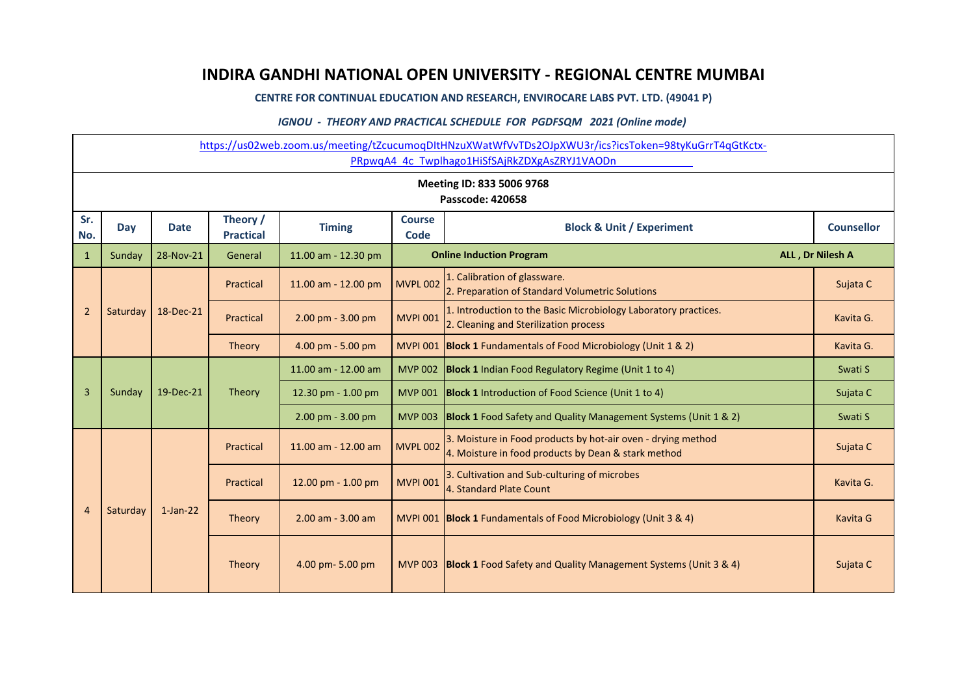## **INDIRA GANDHI NATIONAL OPEN UNIVERSITY - REGIONAL CENTRE MUMBAI**

**CENTRE FOR CONTINUAL EDUCATION AND RESEARCH, ENVIROCARE LABS PVT. LTD. (49041 P)**

## *IGNOU - THEORY AND PRACTICAL SCHEDULE FOR PGDFSQM 2021 (Online mode)*

|                | https://us02web.zoom.us/meeting/tZcucumoqDItHNzuXWatWfVvTDs2OJpXWU3r/ics?icsToken=98tyKuGrrT4qGtKctx-<br>PRpwqA4 4c Twplhago1HiSfSAjRkZDXgAsZRYJ1VAODn |             |                              |                       |                                                                      |                                                                                                                     |                   |  |  |  |  |
|----------------|--------------------------------------------------------------------------------------------------------------------------------------------------------|-------------|------------------------------|-----------------------|----------------------------------------------------------------------|---------------------------------------------------------------------------------------------------------------------|-------------------|--|--|--|--|
|                | Meeting ID: 833 5006 9768<br>Passcode: 420658                                                                                                          |             |                              |                       |                                                                      |                                                                                                                     |                   |  |  |  |  |
| Sr.<br>No.     | Day                                                                                                                                                    | <b>Date</b> | Theory /<br><b>Practical</b> | <b>Timing</b>         | <b>Course</b><br><b>Block &amp; Unit / Experiment</b><br><b>Code</b> |                                                                                                                     | <b>Counsellor</b> |  |  |  |  |
| $\mathbf{1}$   | Sunday                                                                                                                                                 | 28-Nov-21   | General                      | 11.00 am - 12.30 pm   |                                                                      | <b>Online Induction Program</b>                                                                                     | ALL, Dr Nilesh A  |  |  |  |  |
|                |                                                                                                                                                        |             | Practical                    | 11.00 am - 12.00 pm   | <b>MVPL 002</b>                                                      | 1. Calibration of glassware.<br>2. Preparation of Standard Volumetric Solutions                                     | Sujata C          |  |  |  |  |
| $\overline{2}$ | Saturday                                                                                                                                               | 18-Dec-21   | Practical                    | 2.00 pm - 3.00 pm     | <b>MVPI 001</b>                                                      | 1. Introduction to the Basic Microbiology Laboratory practices.<br>2. Cleaning and Sterilization process            | Kavita G.         |  |  |  |  |
|                |                                                                                                                                                        |             | Theory                       | 4.00 pm - 5.00 pm     |                                                                      | MVPI 001 Block 1 Fundamentals of Food Microbiology (Unit 1 & 2)                                                     | Kavita G.         |  |  |  |  |
|                | Sunday                                                                                                                                                 | 19-Dec-21   | Theory                       | 11.00 am - 12.00 am   |                                                                      | MVP 002   Block 1 Indian Food Regulatory Regime (Unit 1 to 4)                                                       | Swati S           |  |  |  |  |
| $\overline{3}$ |                                                                                                                                                        |             |                              | 12.30 pm - 1.00 pm    | <b>MVP 001</b>                                                       | <b>Block 1</b> Introduction of Food Science (Unit 1 to 4)                                                           | Sujata C          |  |  |  |  |
|                |                                                                                                                                                        |             |                              | 2.00 pm - 3.00 pm     | <b>MVP 003</b>                                                       | <b>Block 1</b> Food Safety and Quality Management Systems (Unit 1 & 2)                                              | Swati S           |  |  |  |  |
|                |                                                                                                                                                        |             | Practical                    | 11.00 am - 12.00 am   | <b>MVPL 002</b>                                                      | 3. Moisture in Food products by hot-air oven - drying method<br>4. Moisture in food products by Dean & stark method | Sujata C          |  |  |  |  |
|                |                                                                                                                                                        |             | Practical                    | 12.00 pm - 1.00 pm    | <b>MVPI 001</b>                                                      | 3. Cultivation and Sub-culturing of microbes<br>4. Standard Plate Count                                             | Kavita G.         |  |  |  |  |
| $\overline{4}$ | Saturday                                                                                                                                               | $1$ -Jan-22 | Theory                       | $2.00$ am - $3.00$ am |                                                                      | MVPI 001 Block 1 Fundamentals of Food Microbiology (Unit 3 & 4)                                                     | Kavita G          |  |  |  |  |
|                |                                                                                                                                                        |             | Theory                       | 4.00 pm-5.00 pm       |                                                                      | MVP 003   Block 1 Food Safety and Quality Management Systems (Unit 3 & 4)                                           | Sujata C          |  |  |  |  |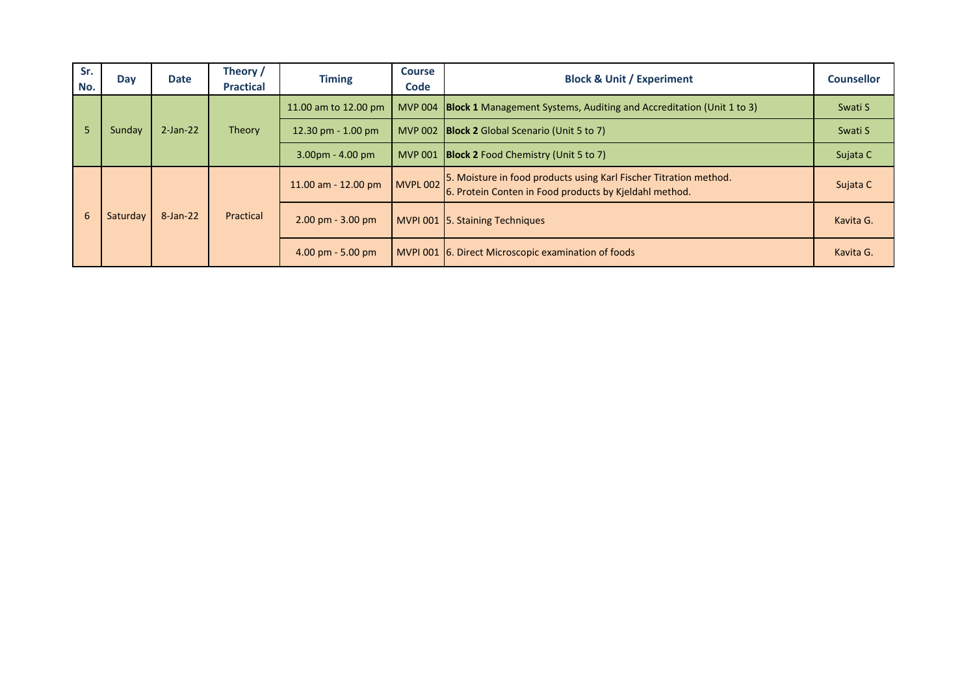| Sr.<br>No. | Day      | <b>Date</b> | Theory /<br><b>Practical</b>        | <b>Timing</b>           | <b>Course</b><br><b>Code</b>                        | <b>Block &amp; Unit / Experiment</b>                                                                                        | <b>Counsellor</b> |
|------------|----------|-------------|-------------------------------------|-------------------------|-----------------------------------------------------|-----------------------------------------------------------------------------------------------------------------------------|-------------------|
|            |          |             |                                     | 11.00 am to 12.00 pm    |                                                     | MVP 004 <b>Block 1</b> Management Systems, Auditing and Accreditation (Unit 1 to 3)                                         | Swati S           |
| 5          | Sunday   | $2$ -Jan-22 | Theory                              | 12.30 pm $- 1.00$ pm    |                                                     | MVP 002 <b>Block 2</b> Global Scenario (Unit 5 to 7)                                                                        | Swati S           |
|            |          |             |                                     | $3.00pm - 4.00pm$       | MVP 001 Block 2 Food Chemistry (Unit 5 to 7)        | Sujata C                                                                                                                    |                   |
|            |          |             |                                     | $11.00$ am $- 12.00$ pm | MVPL 002                                            | 5. Moisture in food products using Karl Fischer Titration method.<br>6. Protein Conten in Food products by Kjeldahl method. | Sujata C          |
| 6          | Saturday | 8-Jan-22    | Practical                           | $2.00$ pm - $3.00$ pm   |                                                     | MVPI 001 5. Staining Techniques                                                                                             | Kavita G.         |
|            |          |             | $4.00 \text{ pm} - 5.00 \text{ pm}$ |                         | MVPI 001 6. Direct Microscopic examination of foods | Kavita G.                                                                                                                   |                   |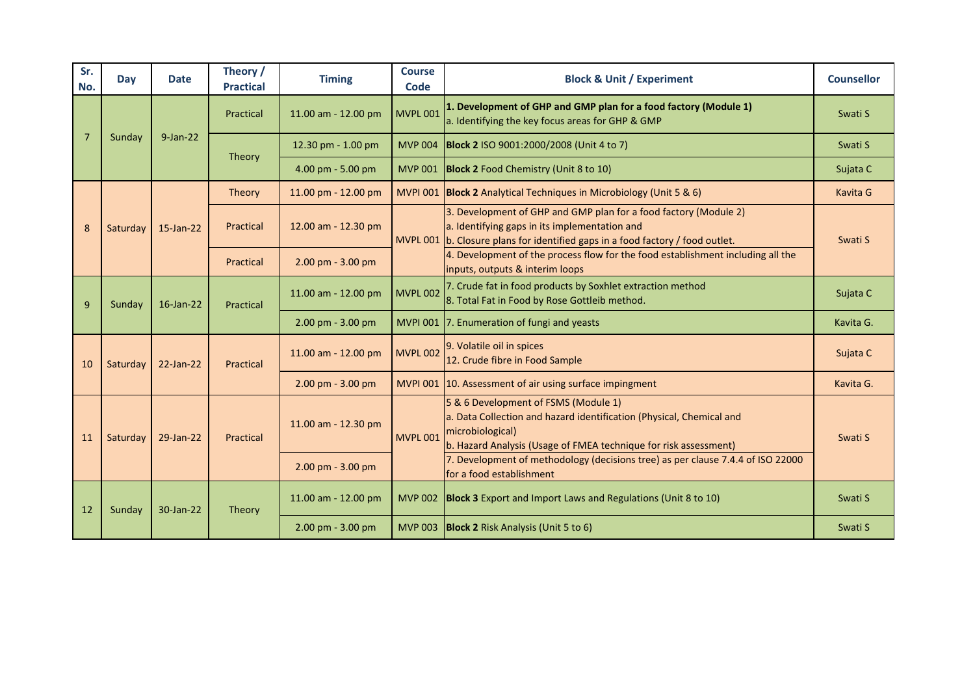| Sr.<br>No.     | Day      | <b>Date</b>  | Theory /<br><b>Practical</b> | <b>Timing</b>       | <b>Course</b><br>Code | <b>Block &amp; Unit / Experiment</b>                                                                                                                                                                 | <b>Counsellor</b>                                                                                           |  |
|----------------|----------|--------------|------------------------------|---------------------|-----------------------|------------------------------------------------------------------------------------------------------------------------------------------------------------------------------------------------------|-------------------------------------------------------------------------------------------------------------|--|
|                | Sunday   |              | Practical                    | 11.00 am - 12.00 pm | <b>MVPL 001</b>       | 1. Development of GHP and GMP plan for a food factory (Module 1)<br>a. Identifying the key focus areas for GHP & GMP                                                                                 | Swati S                                                                                                     |  |
| $\overline{7}$ |          | $9$ -Jan-22  | Theory                       | 12.30 pm - 1.00 pm  |                       | MVP 004   Block 2 ISO 9001:2000/2008 (Unit 4 to 7)                                                                                                                                                   | Swati S                                                                                                     |  |
|                |          |              |                              | 4.00 pm - 5.00 pm   |                       | MVP 001 Block 2 Food Chemistry (Unit 8 to 10)                                                                                                                                                        | Sujata C                                                                                                    |  |
|                |          |              | <b>Theory</b>                | 11.00 pm - 12.00 pm |                       | MVPI 001   Block 2 Analytical Techniques in Microbiology (Unit 5 & 6)                                                                                                                                | Kavita G                                                                                                    |  |
| 8              | Saturday | 15-Jan-22    | Practical                    | 12.00 am - 12.30 pm |                       | 3. Development of GHP and GMP plan for a food factory (Module 2)<br>a. Identifying gaps in its implementation and<br>MVPL 001 b. Closure plans for identified gaps in a food factory / food outlet.  | Swati S                                                                                                     |  |
|                |          |              | Practical                    | 2.00 pm - 3.00 pm   |                       | 4. Development of the process flow for the food establishment including all the<br>inputs, outputs & interim loops                                                                                   | Sujata C<br>Kavita G.<br>Sujata C<br>Kavita G.<br>Swati S<br>Swati S                                        |  |
| $\overline{9}$ | Sunday   | $16$ -Jan-22 |                              | Practical           | 11.00 am - 12.00 pm   | <b>MVPL 002</b>                                                                                                                                                                                      | 7. Crude fat in food products by Soxhlet extraction method<br>8. Total Fat in Food by Rose Gottleib method. |  |
|                |          |              |                              | 2.00 pm - 3.00 pm   |                       | MVPI 001 7. Enumeration of fungi and yeasts                                                                                                                                                          |                                                                                                             |  |
| 10             | Saturday | 22-Jan-22    | Practical                    |                     | 11.00 am - 12.00 pm   | <b>MVPL 002</b>                                                                                                                                                                                      | 9. Volatile oil in spices<br>12. Crude fibre in Food Sample                                                 |  |
|                |          |              |                              |                     | $2.00$ pm - $3.00$ pm |                                                                                                                                                                                                      | MVPI 001 10. Assessment of air using surface impingment                                                     |  |
| 11             | Saturday | 29-Jan-22    | Practical                    | 11.00 am - 12.30 pm | <b>MVPL 001</b>       | 5 & 6 Development of FSMS (Module 1)<br>a. Data Collection and hazard identification (Physical, Chemical and<br>microbiological)<br>b. Hazard Analysis (Usage of FMEA technique for risk assessment) |                                                                                                             |  |
|                |          |              |                              | 2.00 pm - 3.00 pm   |                       | 7. Development of methodology (decisions tree) as per clause 7.4.4 of ISO 22000<br>for a food establishment                                                                                          |                                                                                                             |  |
| 12             | Sunday   | 30-Jan-22    | Theory                       | 11.00 am - 12.00 pm | <b>MVP 002</b>        | <b>Block 3</b> Export and Import Laws and Regulations (Unit 8 to 10)                                                                                                                                 |                                                                                                             |  |
|                |          |              |                              | 2.00 pm - 3.00 pm   |                       | MVP 003 Block 2 Risk Analysis (Unit 5 to 6)                                                                                                                                                          | Swati S                                                                                                     |  |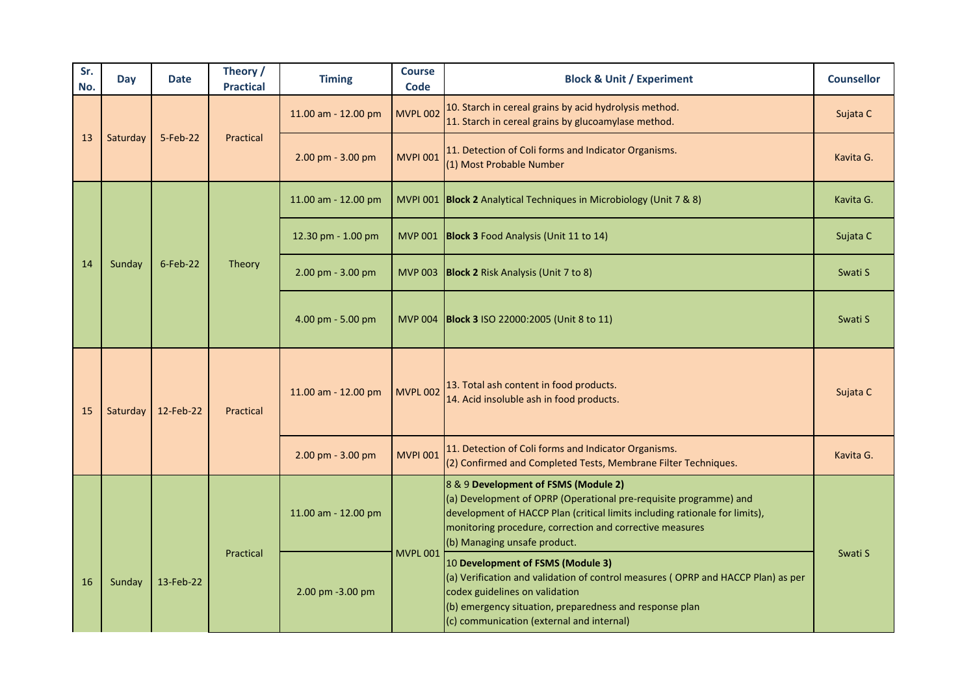| Sr.<br>No.                                                                                                | Day      | <b>Date</b> | Theory /<br><b>Practical</b>                                                                                                               | <b>Timing</b>       | <b>Course</b><br><b>Code</b> | <b>Block &amp; Unit / Experiment</b>                                                                                                                                                                                                                                                 | <b>Counsellor</b> |
|-----------------------------------------------------------------------------------------------------------|----------|-------------|--------------------------------------------------------------------------------------------------------------------------------------------|---------------------|------------------------------|--------------------------------------------------------------------------------------------------------------------------------------------------------------------------------------------------------------------------------------------------------------------------------------|-------------------|
|                                                                                                           |          |             |                                                                                                                                            | 11.00 am - 12.00 pm | <b>MVPL 002</b>              | 10. Starch in cereal grains by acid hydrolysis method.<br>11. Starch in cereal grains by glucoamylase method.                                                                                                                                                                        | Sujata C          |
| 13                                                                                                        | Saturday | 5-Feb-22    | Practical                                                                                                                                  | 2.00 pm - 3.00 pm   | <b>MVPI 001</b>              | 11. Detection of Coli forms and Indicator Organisms.<br>(1) Most Probable Number                                                                                                                                                                                                     | Kavita G.         |
|                                                                                                           |          |             |                                                                                                                                            | 11.00 am - 12.00 pm |                              | MVPI 001   Block 2 Analytical Techniques in Microbiology (Unit 7 & 8)                                                                                                                                                                                                                | Kavita G.         |
|                                                                                                           |          |             |                                                                                                                                            | 12.30 pm - 1.00 pm  |                              | MVP 001 Block 3 Food Analysis (Unit 11 to 14)                                                                                                                                                                                                                                        | Sujata C          |
| 14<br>Sunday<br>$6$ -Feb-22<br>Theory<br>2.00 pm - 3.00 pm<br>MVP 003 Block 2 Risk Analysis (Unit 7 to 8) |          | Swati S     |                                                                                                                                            |                     |                              |                                                                                                                                                                                                                                                                                      |                   |
|                                                                                                           |          |             |                                                                                                                                            | 4.00 pm - 5.00 pm   |                              | MVP 004   Block 3 ISO 22000:2005 (Unit 8 to 11)                                                                                                                                                                                                                                      | Swati S           |
| 15                                                                                                        | Saturday | 12-Feb-22   | 13. Total ash content in food products.<br><b>MVPL 002</b><br>11.00 am - 12.00 pm<br>14. Acid insoluble ash in food products.<br>Practical |                     | Sujata C                     |                                                                                                                                                                                                                                                                                      |                   |
|                                                                                                           |          |             |                                                                                                                                            | 2.00 pm - 3.00 pm   | <b>MVPI 001</b>              | 11. Detection of Coli forms and Indicator Organisms.<br>(2) Confirmed and Completed Tests, Membrane Filter Techniques.                                                                                                                                                               | Kavita G.         |
|                                                                                                           |          |             |                                                                                                                                            | 11.00 am - 12.00 pm |                              | 8 & 9 Development of FSMS (Module 2)<br>(a) Development of OPRP (Operational pre-requisite programme) and<br>development of HACCP Plan (critical limits including rationale for limits),<br>monitoring procedure, correction and corrective measures<br>(b) Managing unsafe product. |                   |
| 16                                                                                                        | Sunday   | 13-Feb-22   | Practical                                                                                                                                  | 2.00 pm -3.00 pm    | <b>MVPL 001</b>              | 10 Development of FSMS (Module 3)<br>(a) Verification and validation of control measures (OPRP and HACCP Plan) as per<br>codex guidelines on validation<br>(b) emergency situation, preparedness and response plan<br>(c) communication (external and internal)                      | Swati S           |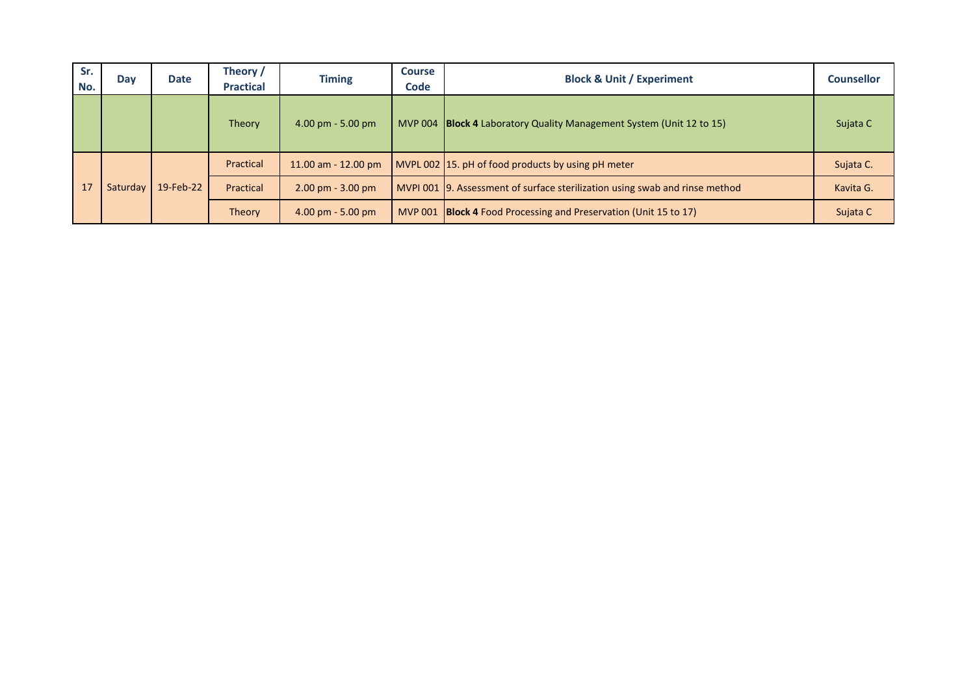| Sr.<br>No. | Day      | <b>Date</b> | Theory /<br><b>Practical</b> | <b>Timing</b>                       | <b>Course</b><br><b>Code</b> | <b>Block &amp; Unit / Experiment</b>                                        | <b>Counsellor</b> |
|------------|----------|-------------|------------------------------|-------------------------------------|------------------------------|-----------------------------------------------------------------------------|-------------------|
|            |          |             | Theory                       | $4.00 \text{ pm} - 5.00 \text{ pm}$ |                              | MVP 004 Block 4 Laboratory Quality Management System (Unit 12 to 15)        | Sujata C          |
|            |          |             | Practical                    | $11.00$ am $- 12.00$ pm             |                              | MVPL 002 15. pH of food products by using pH meter                          | Sujata C.         |
| 17         | Saturday | 19-Feb-22   | Practical                    | $2.00$ pm - $3.00$ pm               |                              | MVPI 001 9. Assessment of surface sterilization using swab and rinse method | Kavita G.         |
|            |          |             | Theory                       | $4.00 \text{ pm} - 5.00 \text{ pm}$ |                              | MVP 001 <b>Block 4</b> Food Processing and Preservation (Unit 15 to 17)     | Sujata C          |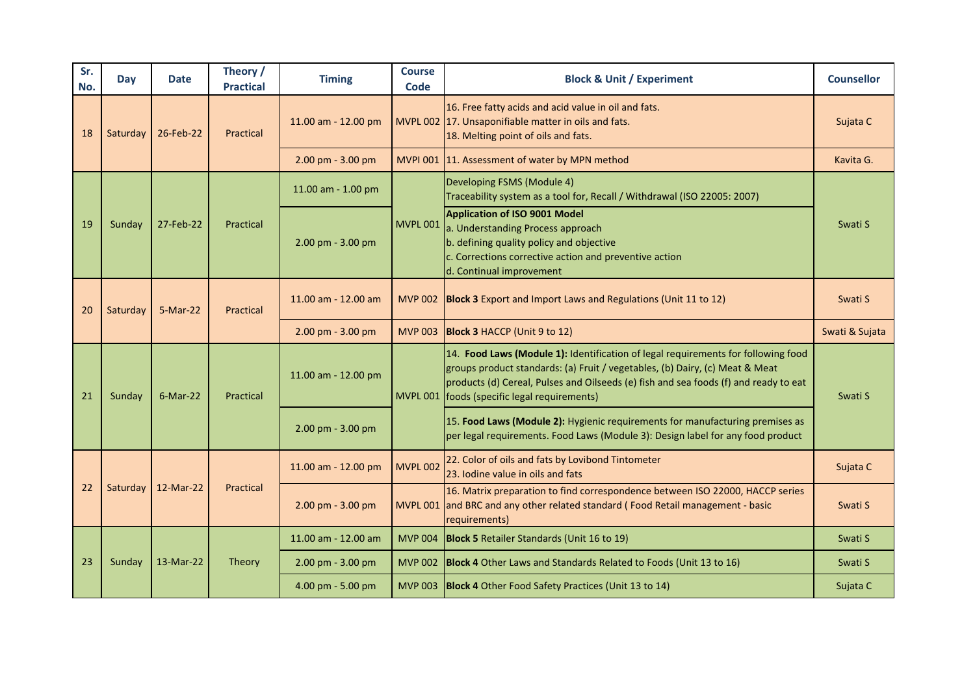| Sr.<br>No. | Day      | <b>Date</b>        | Theory /<br><b>Practical</b> | <b>Timing</b>         | <b>Course</b><br>Code | <b>Block &amp; Unit / Experiment</b>                                                                                                                                                                                                                                                                        | <b>Counsellor</b> |
|------------|----------|--------------------|------------------------------|-----------------------|-----------------------|-------------------------------------------------------------------------------------------------------------------------------------------------------------------------------------------------------------------------------------------------------------------------------------------------------------|-------------------|
| 18         | Saturday | 26-Feb-22          | Practical                    | 11.00 am - 12.00 pm   |                       | 16. Free fatty acids and acid value in oil and fats.<br>MVPL 002 17. Unsaponifiable matter in oils and fats.<br>18. Melting point of oils and fats.                                                                                                                                                         | Sujata C          |
|            |          |                    |                              | 2.00 pm - 3.00 pm     |                       | MVPI 001 11. Assessment of water by MPN method                                                                                                                                                                                                                                                              | Kavita G.         |
|            |          |                    |                              | 11.00 am - 1.00 pm    |                       | Developing FSMS (Module 4)<br>Traceability system as a tool for, Recall / Withdrawal (ISO 22005: 2007)                                                                                                                                                                                                      |                   |
| 19         | Sunday   | 27-Feb-22          | Practical                    | 2.00 pm - 3.00 pm     | <b>MVPL 001</b>       | Application of ISO 9001 Model<br>a. Understanding Process approach<br>b. defining quality policy and objective<br>c. Corrections corrective action and preventive action<br>d. Continual improvement                                                                                                        | Swati S           |
| 20         | Saturday | 5-Mar-22           | Practical                    | 11.00 am - 12.00 am   |                       | MVP 002 Block 3 Export and Import Laws and Regulations (Unit 11 to 12)                                                                                                                                                                                                                                      | Swati S           |
|            |          |                    |                              | 2.00 pm - 3.00 pm     |                       | MVP 003 Block 3 HACCP (Unit 9 to 12)                                                                                                                                                                                                                                                                        | Swati & Sujata    |
| 21         | Sunday   | $6$ -Mar-22        | Practical                    | 11.00 am - 12.00 pm   |                       | 14. Food Laws (Module 1): Identification of legal requirements for following food<br>groups product standards: (a) Fruit / vegetables, (b) Dairy, (c) Meat & Meat<br>products (d) Cereal, Pulses and Oilseeds (e) fish and sea foods (f) and ready to eat<br>MVPL 001   foods (specific legal requirements) | Swati S           |
|            |          |                    |                              | 2.00 pm - 3.00 pm     |                       | 15. Food Laws (Module 2): Hygienic requirements for manufacturing premises as<br>per legal requirements. Food Laws (Module 3): Design label for any food product                                                                                                                                            |                   |
|            |          |                    |                              | 11.00 am - 12.00 pm   | <b>MVPL 002</b>       | 22. Color of oils and fats by Lovibond Tintometer<br>23. Iodine value in oils and fats                                                                                                                                                                                                                      | Sujata C          |
| 22         |          | Saturday 12-Mar-22 | Practical                    | 2.00 pm - 3.00 pm     |                       | 16. Matrix preparation to find correspondence between ISO 22000, HACCP series<br>MVPL 001 and BRC and any other related standard (Food Retail management - basic<br>requirements)                                                                                                                           | Swati S           |
|            |          |                    |                              | 11.00 am - 12.00 am   | <b>MVP 004</b>        | <b>Block 5</b> Retailer Standards (Unit 16 to 19)                                                                                                                                                                                                                                                           | Swati S           |
| 23         | Sunday   | 13-Mar-22          | Theory                       | $2.00$ pm - $3.00$ pm |                       | MVP 002 Block 4 Other Laws and Standards Related to Foods (Unit 13 to 16)                                                                                                                                                                                                                                   | Swati S           |
|            |          |                    |                              | 4.00 pm - 5.00 pm     |                       | MVP 003 Block 4 Other Food Safety Practices (Unit 13 to 14)                                                                                                                                                                                                                                                 | Sujata C          |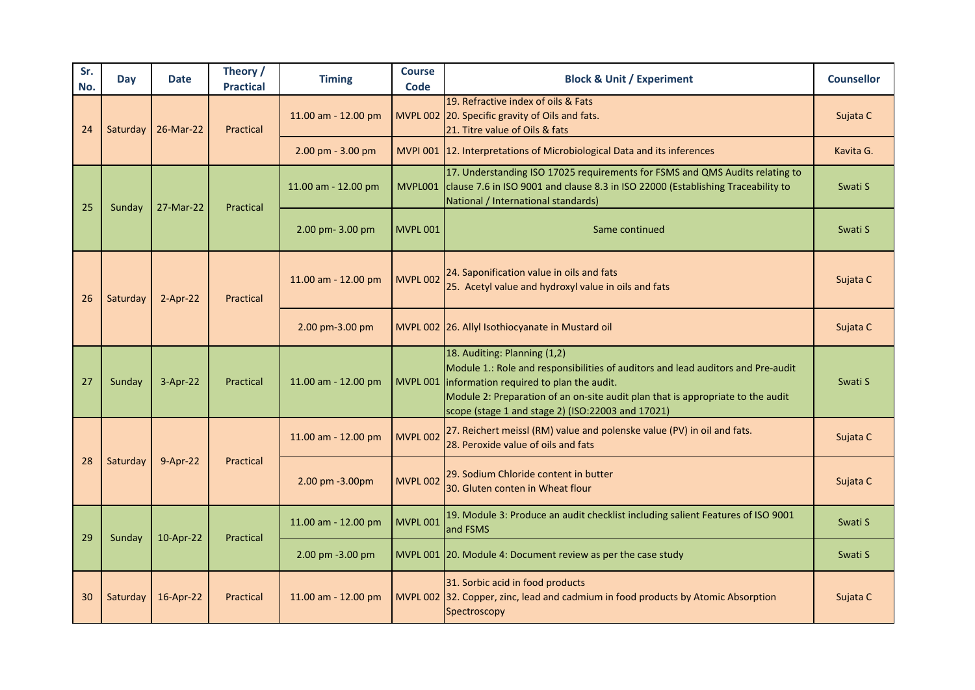| Sr.<br>No. | Day      | <b>Date</b> | Theory /<br><b>Practical</b> | <b>Timing</b>       | <b>Course</b><br><b>Code</b> | <b>Block &amp; Unit / Experiment</b>                                                                                                                                                                                                                                                                           | <b>Counsellor</b> |
|------------|----------|-------------|------------------------------|---------------------|------------------------------|----------------------------------------------------------------------------------------------------------------------------------------------------------------------------------------------------------------------------------------------------------------------------------------------------------------|-------------------|
| 24         | Saturday | 26-Mar-22   | Practical                    | 11.00 am - 12.00 pm |                              | 19. Refractive index of oils & Fats<br>MVPL 002 20. Specific gravity of Oils and fats.<br>21. Titre value of Oils & fats                                                                                                                                                                                       | Sujata C          |
|            |          |             |                              | 2.00 pm - 3.00 pm   |                              | MVPI 001 12. Interpretations of Microbiological Data and its inferences                                                                                                                                                                                                                                        | Kavita G.         |
| 25         | Sunday   | 27-Mar-22   | Practical                    | 11.00 am - 12.00 pm |                              | 17. Understanding ISO 17025 requirements for FSMS and QMS Audits relating to<br>MVPL001 clause 7.6 in ISO 9001 and clause 8.3 in ISO 22000 (Establishing Traceability to<br>National / International standards)                                                                                                | Swati S           |
|            |          |             |                              | 2.00 pm- 3.00 pm    | <b>MVPL 001</b>              | Same continued                                                                                                                                                                                                                                                                                                 | Swati S           |
| 26         | Saturday | $2-Apr-22$  | Practical                    | 11.00 am - 12.00 pm | <b>MVPL 002</b>              | 24. Saponification value in oils and fats<br>25. Acetyl value and hydroxyl value in oils and fats                                                                                                                                                                                                              | Sujata C          |
|            |          |             |                              | 2.00 pm-3.00 pm     |                              | MVPL 002 26. Allyl Isothiocyanate in Mustard oil                                                                                                                                                                                                                                                               | Sujata C          |
| 27         | Sunday   | 3-Apr-22    | Practical                    | 11.00 am - 12.00 pm |                              | 18. Auditing: Planning (1,2)<br>Module 1.: Role and responsibilities of auditors and lead auditors and Pre-audit<br>MVPL 001   information required to plan the audit.<br>Module 2: Preparation of an on-site audit plan that is appropriate to the audit<br>scope (stage 1 and stage 2) (ISO:22003 and 17021) | Swati S           |
|            |          |             |                              | 11.00 am - 12.00 pm | <b>MVPL 002</b>              | 27. Reichert meissl (RM) value and polenske value (PV) in oil and fats.<br>28. Peroxide value of oils and fats                                                                                                                                                                                                 | Sujata C          |
| 28         | Saturday | 9-Apr-22    | Practical                    | 2.00 pm -3.00pm     | <b>MVPL 002</b>              | 29. Sodium Chloride content in butter<br>30. Gluten conten in Wheat flour                                                                                                                                                                                                                                      | Sujata C          |
| 29         |          |             | Practical                    | 11.00 am - 12.00 pm | <b>MVPL 001</b>              | 19. Module 3: Produce an audit checklist including salient Features of ISO 9001<br>and FSMS                                                                                                                                                                                                                    | Swati S           |
|            | Sunday   | 10-Apr-22   |                              | 2.00 pm -3.00 pm    |                              | MVPL 001 20. Module 4: Document review as per the case study                                                                                                                                                                                                                                                   | Swati S           |
| 30         | Saturday | 16-Apr-22   | Practical                    | 11.00 am - 12.00 pm |                              | 31. Sorbic acid in food products<br>MVPL 002 32. Copper, zinc, lead and cadmium in food products by Atomic Absorption<br>Spectroscopy                                                                                                                                                                          | Sujata C          |